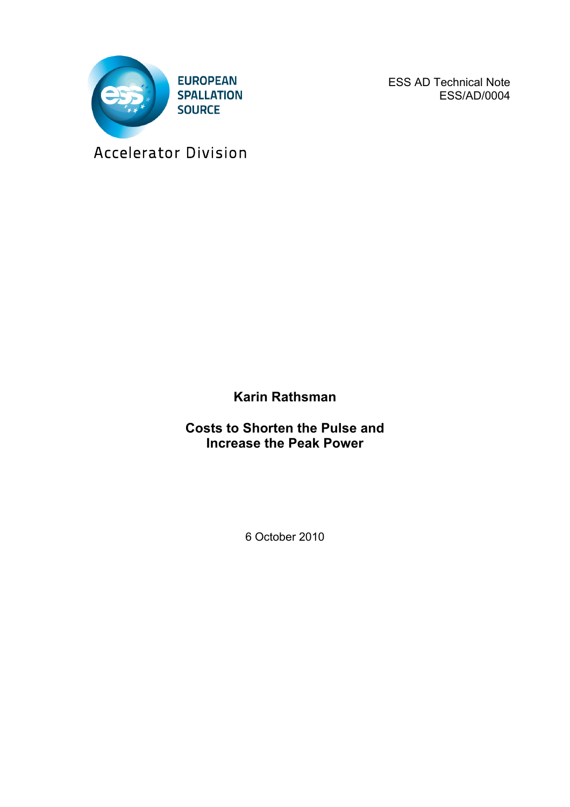

ESS AD Technical Note ESS/AD/0004

Accelerator Division

**Karin Rathsman**

**Costs to Shorten the Pulse and Increase the Peak Power**

6 October 2010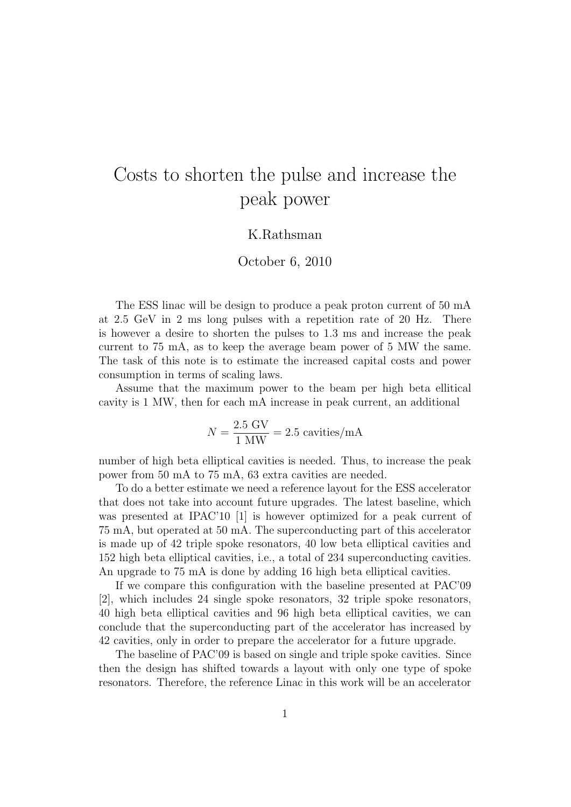## Costs to shorten the pulse and increase the peak power

## K.Rathsman

## October 6, 2010

The ESS linac will be design to produce a peak proton current of 50 mA at 2*.*5 GeV in 2 ms long pulses with a repetition rate of 20 Hz. There is however a desire to shorten the pulses to 1*.*3 ms and increase the peak current to 75 mA, as to keep the average beam power of 5 MW the same. The task of this note is to estimate the increased capital costs and power consumption in terms of scaling laws.

Assume that the maximum power to the beam per high beta ellitical cavity is 1 MW, then for each mA increase in peak current, an additional

$$
N = \frac{2.5 \text{ GV}}{1 \text{ MW}} = 2.5 \text{ cavities/mA}
$$

number of high beta elliptical cavities is needed. Thus, to increase the peak power from 50 mA to 75 mA, 63 extra cavities are needed.

To do a better estimate we need a reference layout for the ESS accelerator that does not take into account future upgrades. The latest baseline, which was presented at IPAC'10 [1] is however optimized for a peak current of 75 mA, but operated at 50 mA. The superconducting part of this accelerator is made up of 42 triple spoke resonators, 40 low beta elliptical cavities and 152 high beta elliptical cavities, i.e., a total of 234 superconducting cavities. An upgrade to 75 mA is done by adding 16 high beta elliptical cavities.

If we compare this configuration with the baseline presented at PAC'09 [2], which includes 24 single spoke resonators, 32 triple spoke resonators, 40 high beta elliptical cavities and 96 high beta elliptical cavities, we can conclude that the superconducting part of the accelerator has increased by 42 cavities, only in order to prepare the accelerator for a future upgrade.

The baseline of PAC'09 is based on single and triple spoke cavities. Since then the design has shifted towards a layout with only one type of spoke resonators. Therefore, the reference Linac in this work will be an accelerator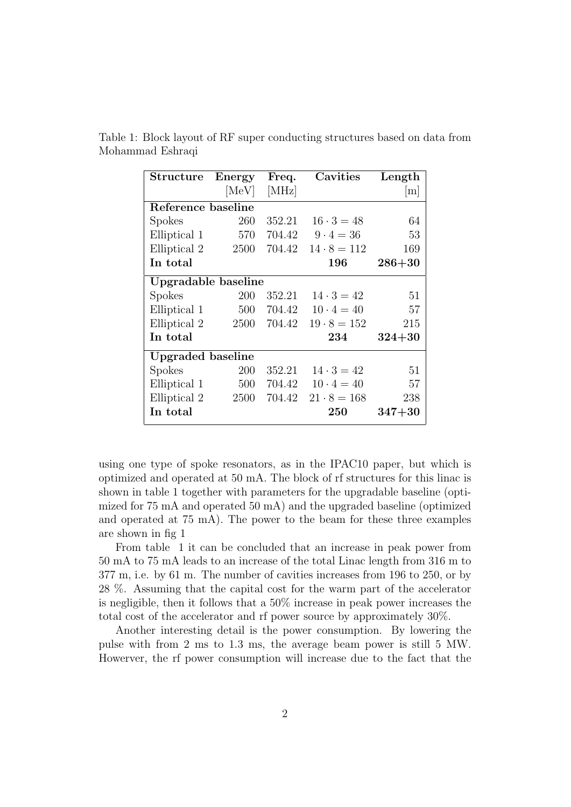| <b>Structure</b>         | Energy | Freq.  | Cavities           | Length     |
|--------------------------|--------|--------|--------------------|------------|
|                          | [MeV]  | [MHz]  |                    | m          |
| Reference baseline       |        |        |                    |            |
| Spokes                   | 260    | 352.21 | $16 \cdot 3 = 48$  | 64         |
| Elliptical 1             | 570    | 704.42 | $9 \cdot 4 = 36$   | 53         |
| Elliptical 2             | 2500   | 704.42 | $14 \cdot 8 = 112$ | 169        |
| In total                 |        |        | 196                | $286 + 30$ |
| Upgradable baseline      |        |        |                    |            |
| <b>Spokes</b>            | 200    | 352.21 | $14 \cdot 3 = 42$  | 51         |
| Elliptical 1             | 500    | 704.42 | $10 \cdot 4 = 40$  | 57         |
| Elliptical 2             | 2500   | 704.42 | $19 \cdot 8 = 152$ | 215        |
| In total                 |        |        | 234                | $324 + 30$ |
| <b>Upgraded baseline</b> |        |        |                    |            |
| Spokes                   | 200    | 352.21 | $14 \cdot 3 = 42$  | 51         |
| Elliptical 1             | 500    | 704.42 | $10 \cdot 4 = 40$  | 57         |
| Elliptical 2             | 2500   | 704.42 | $21 \cdot 8 = 168$ | 238        |
| In total                 |        |        | $\rm 250$          | $347 + 30$ |

Table 1: Block layout of RF super conducting structures based on data from Mohammad Eshraqi

using one type of spoke resonators, as in the IPAC10 paper, but which is optimized and operated at 50 mA. The block of rf structures for this linac is shown in table 1 together with parameters for the upgradable baseline (optimized for 75 mA and operated 50 mA) and the upgraded baseline (optimized and operated at 75 mA). The power to the beam for these three examples are shown in fig 1

From table 1 it can be concluded that an increase in peak power from 50 mA to 75 mA leads to an increase of the total Linac length from 316 m to 377 m, i.e. by 61 m. The number of cavities increases from 196 to 250, or by 28 %. Assuming that the capital cost for the warm part of the accelerator is negligible, then it follows that a 50% increase in peak power increases the total cost of the accelerator and rf power source by approximately 30%.

Another interesting detail is the power consumption. By lowering the pulse with from 2 ms to 1.3 ms, the average beam power is still 5 MW. Howerver, the rf power consumption will increase due to the fact that the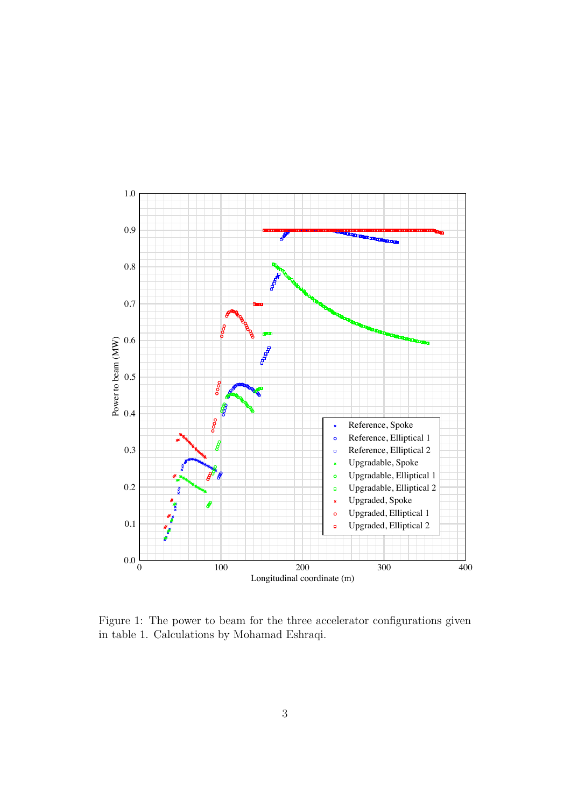

Figure 1: The power to beam for the three accelerator configurations given in table 1. Calculations by Mohamad Eshraqi.